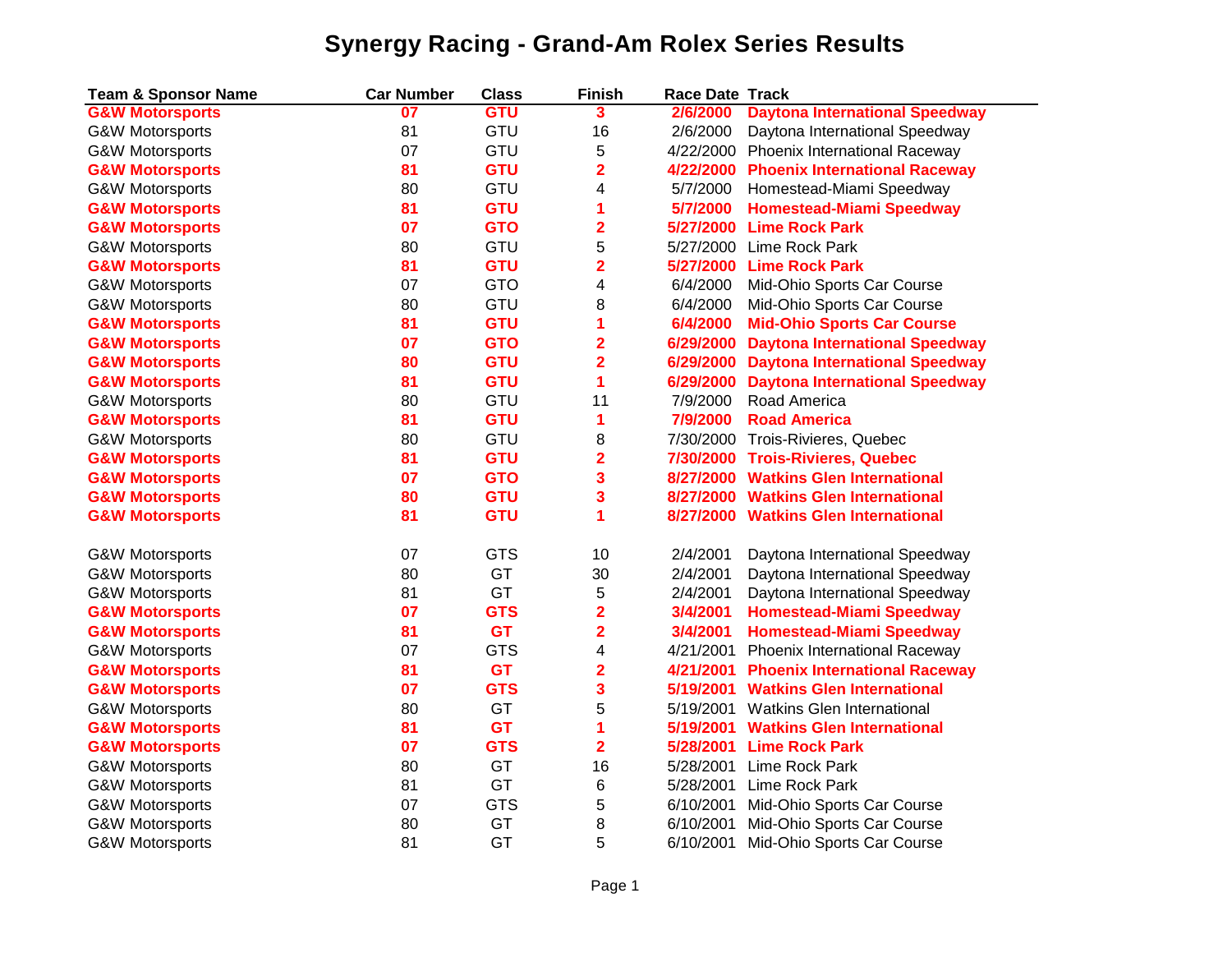| <b>Team &amp; Sponsor Name</b> | <b>Car Number</b> | <b>Class</b> | <b>Finish</b>           | <b>Race Date Track</b> |                                         |
|--------------------------------|-------------------|--------------|-------------------------|------------------------|-----------------------------------------|
| <b>G&amp;W Motorsports</b>     | 07                | <b>GTU</b>   | 3                       | 2/6/2000               | <b>Daytona International Speedway</b>   |
| <b>G&amp;W Motorsports</b>     | 81                | GTU          | 16                      | 2/6/2000               | Daytona International Speedway          |
| <b>G&amp;W Motorsports</b>     | 07                | GTU          | 5                       |                        | 4/22/2000 Phoenix International Raceway |
| <b>G&amp;W Motorsports</b>     | 81                | <b>GTU</b>   | $\overline{\mathbf{2}}$ | 4/22/2000              | <b>Phoenix International Raceway</b>    |
| <b>G&amp;W Motorsports</b>     | 80                | GTU          | 4                       | 5/7/2000               | Homestead-Miami Speedway                |
| <b>G&amp;W Motorsports</b>     | 81                | <b>GTU</b>   | 1                       | 5/7/2000               | <b>Homestead-Miami Speedway</b>         |
| <b>G&amp;W Motorsports</b>     | 07                | <b>GTO</b>   | $\overline{\mathbf{2}}$ | 5/27/2000              | <b>Lime Rock Park</b>                   |
| G&W Motorsports                | 80                | GTU          | 5                       | 5/27/2000              | Lime Rock Park                          |
| <b>G&amp;W Motorsports</b>     | 81                | <b>GTU</b>   | $\overline{\mathbf{2}}$ | 5/27/2000              | <b>Lime Rock Park</b>                   |
| G&W Motorsports                | 07                | <b>GTO</b>   | 4                       | 6/4/2000               | Mid-Ohio Sports Car Course              |
| <b>G&amp;W Motorsports</b>     | 80                | GTU          | 8                       | 6/4/2000               | Mid-Ohio Sports Car Course              |
| <b>G&amp;W Motorsports</b>     | 81                | <b>GTU</b>   | 1                       | 6/4/2000               | <b>Mid-Ohio Sports Car Course</b>       |
| <b>G&amp;W Motorsports</b>     | 07                | <b>GTO</b>   | $\overline{2}$          | 6/29/2000              | <b>Daytona International Speedway</b>   |
| <b>G&amp;W Motorsports</b>     | 80                | <b>GTU</b>   | $\overline{\mathbf{2}}$ | 6/29/2000              | <b>Daytona International Speedway</b>   |
| <b>G&amp;W Motorsports</b>     | 81                | <b>GTU</b>   | 1                       | 6/29/2000              | <b>Daytona International Speedway</b>   |
| <b>G&amp;W Motorsports</b>     | 80                | GTU          | 11                      | 7/9/2000               | Road America                            |
| <b>G&amp;W Motorsports</b>     | 81                | <b>GTU</b>   | 1                       | 7/9/2000               | <b>Road America</b>                     |
| G&W Motorsports                | 80                | GTU          | 8                       |                        | 7/30/2000 Trois-Rivieres, Quebec        |
| <b>G&amp;W Motorsports</b>     | 81                | <b>GTU</b>   | $\overline{\mathbf{2}}$ | 7/30/2000              | <b>Trois-Rivieres, Quebec</b>           |
| <b>G&amp;W Motorsports</b>     | 07                | <b>GTO</b>   | 3                       | 8/27/2000              | <b>Watkins Glen International</b>       |
| <b>G&amp;W Motorsports</b>     | 80                | <b>GTU</b>   | 3                       | 8/27/2000              | <b>Watkins Glen International</b>       |
| <b>G&amp;W Motorsports</b>     | 81                | <b>GTU</b>   | 1                       | 8/27/2000              | <b>Watkins Glen International</b>       |
|                                |                   |              |                         |                        |                                         |
| G&W Motorsports                | 07                | <b>GTS</b>   | 10                      | 2/4/2001               | Daytona International Speedway          |
| G&W Motorsports                | 80                | GT           | 30                      | 2/4/2001               | Daytona International Speedway          |
| G&W Motorsports                | 81                | GT           | 5                       | 2/4/2001               | Daytona International Speedway          |
| <b>G&amp;W Motorsports</b>     | 07                | <b>GTS</b>   | $\overline{\mathbf{2}}$ | 3/4/2001               | <b>Homestead-Miami Speedway</b>         |
| <b>G&amp;W Motorsports</b>     | 81                | <b>GT</b>    | $\overline{\mathbf{2}}$ | 3/4/2001               | <b>Homestead-Miami Speedway</b>         |
| <b>G&amp;W Motorsports</b>     | 07                | <b>GTS</b>   | 4                       | 4/21/2001              | Phoenix International Raceway           |
| <b>G&amp;W Motorsports</b>     | 81                | <b>GT</b>    | $\overline{\mathbf{2}}$ | 4/21/2001              | <b>Phoenix International Raceway</b>    |
| <b>G&amp;W Motorsports</b>     | 07                | <b>GTS</b>   | 3                       | 5/19/2001              | <b>Watkins Glen International</b>       |
| G&W Motorsports                | 80                | GT           | 5                       | 5/19/2001              | Watkins Glen International              |
| <b>G&amp;W Motorsports</b>     | 81                | <b>GT</b>    | 1                       | 5/19/2001              | <b>Watkins Glen International</b>       |
| <b>G&amp;W Motorsports</b>     | 07                | <b>GTS</b>   | $\overline{2}$          | 5/28/2001              | <b>Lime Rock Park</b>                   |
| G&W Motorsports                | 80                | GT           | 16                      | 5/28/2001              | Lime Rock Park                          |
| <b>G&amp;W Motorsports</b>     | 81                | GT           | 6                       | 5/28/2001              | Lime Rock Park                          |
| G&W Motorsports                | 07                | <b>GTS</b>   | 5                       | 6/10/2001              | Mid-Ohio Sports Car Course              |
| <b>G&amp;W Motorsports</b>     | 80                | GT           | 8                       | 6/10/2001              | Mid-Ohio Sports Car Course              |
| G&W Motorsports                | 81                | GT           | 5                       | 6/10/2001              | Mid-Ohio Sports Car Course              |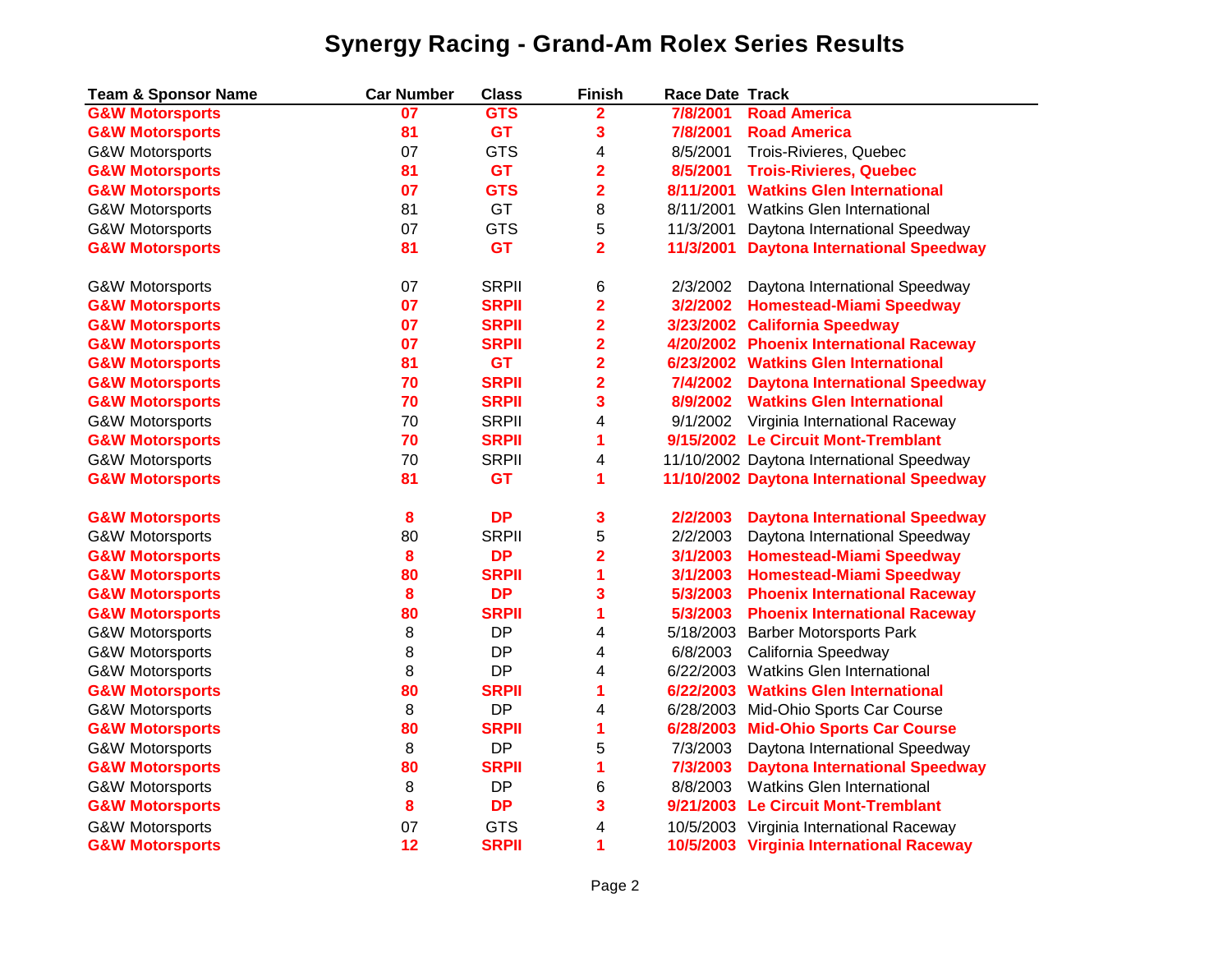| <b>Team &amp; Sponsor Name</b> | <b>Car Number</b> | <b>Class</b> | <b>Finish</b>           | <b>Race Date Track</b> |                                           |
|--------------------------------|-------------------|--------------|-------------------------|------------------------|-------------------------------------------|
| <b>G&amp;W Motorsports</b>     | 07                | <b>GTS</b>   | $\overline{\mathbf{2}}$ | 7/8/2001               | <b>Road America</b>                       |
| <b>G&amp;W Motorsports</b>     | 81                | <b>GT</b>    | 3                       | 7/8/2001               | <b>Road America</b>                       |
| <b>G&amp;W Motorsports</b>     | 07                | <b>GTS</b>   | 4                       | 8/5/2001               | Trois-Rivieres, Quebec                    |
| <b>G&amp;W Motorsports</b>     | 81                | <b>GT</b>    | $\overline{\mathbf{2}}$ | 8/5/2001               | <b>Trois-Rivieres, Quebec</b>             |
| <b>G&amp;W Motorsports</b>     | 07                | <b>GTS</b>   | 2                       | 8/11/2001              | <b>Watkins Glen International</b>         |
| <b>G&amp;W Motorsports</b>     | 81                | GT           | 8                       | 8/11/2001              | Watkins Glen International                |
| <b>G&amp;W Motorsports</b>     | 07                | <b>GTS</b>   | 5                       | 11/3/2001              | Daytona International Speedway            |
| <b>G&amp;W Motorsports</b>     | 81                | <b>GT</b>    | $\overline{\mathbf{2}}$ | 11/3/2001              | <b>Daytona International Speedway</b>     |
| <b>G&amp;W Motorsports</b>     | 07                | <b>SRPII</b> | 6                       | 2/3/2002               | Daytona International Speedway            |
| <b>G&amp;W Motorsports</b>     | 07                | <b>SRPII</b> | $\overline{\mathbf{2}}$ | 3/2/2002               | <b>Homestead-Miami Speedway</b>           |
| <b>G&amp;W Motorsports</b>     | 07                | <b>SRPII</b> | $\overline{\mathbf{2}}$ |                        | 3/23/2002 California Speedway             |
| <b>G&amp;W Motorsports</b>     | 07                | <b>SRPII</b> | $\overline{\mathbf{2}}$ |                        | 4/20/2002 Phoenix International Raceway   |
| <b>G&amp;W Motorsports</b>     | 81                | <b>GT</b>    | 2                       |                        | 6/23/2002 Watkins Glen International      |
| <b>G&amp;W Motorsports</b>     | 70                | <b>SRPII</b> | $\overline{\mathbf{2}}$ | 7/4/2002               | <b>Daytona International Speedway</b>     |
| <b>G&amp;W Motorsports</b>     | 70                | <b>SRPII</b> | 3                       | 8/9/2002               | <b>Watkins Glen International</b>         |
| <b>G&amp;W Motorsports</b>     | 70                | <b>SRPII</b> | 4                       | 9/1/2002               | Virginia International Raceway            |
| <b>G&amp;W Motorsports</b>     | 70                | <b>SRPII</b> | 1                       |                        | 9/15/2002 Le Circuit Mont-Tremblant       |
| <b>G&amp;W Motorsports</b>     | 70                | <b>SRPII</b> | 4                       |                        | 11/10/2002 Daytona International Speedway |
| <b>G&amp;W Motorsports</b>     | 81                | <b>GT</b>    | 1                       |                        | 11/10/2002 Daytona International Speedway |
| <b>G&amp;W Motorsports</b>     | 8                 | <b>DP</b>    | 3                       | 2/2/2003               | <b>Daytona International Speedway</b>     |
| G&W Motorsports                | 80                | <b>SRPII</b> | 5                       | 2/2/2003               | Daytona International Speedway            |
| <b>G&amp;W Motorsports</b>     | 8                 | <b>DP</b>    | $\overline{\mathbf{2}}$ | 3/1/2003               | <b>Homestead-Miami Speedway</b>           |
| <b>G&amp;W Motorsports</b>     | 80                | <b>SRPII</b> | 1                       | 3/1/2003               | <b>Homestead-Miami Speedway</b>           |
| <b>G&amp;W Motorsports</b>     | 8                 | <b>DP</b>    | 3                       | 5/3/2003               | <b>Phoenix International Raceway</b>      |
| <b>G&amp;W Motorsports</b>     | 80                | <b>SRPII</b> | 1                       | 5/3/2003               | <b>Phoenix International Raceway</b>      |
| <b>G&amp;W Motorsports</b>     | 8                 | DP           | 4                       | 5/18/2003              | <b>Barber Motorsports Park</b>            |
| <b>G&amp;W Motorsports</b>     | 8                 | <b>DP</b>    | 4                       | 6/8/2003               | California Speedway                       |
| <b>G&amp;W Motorsports</b>     | 8                 | <b>DP</b>    | 4                       | 6/22/2003              | <b>Watkins Glen International</b>         |
| <b>G&amp;W Motorsports</b>     | 80                | <b>SRPII</b> | 1                       | 6/22/2003              | <b>Watkins Glen International</b>         |
| <b>G&amp;W Motorsports</b>     | 8                 | <b>DP</b>    | 4                       |                        | 6/28/2003 Mid-Ohio Sports Car Course      |
| <b>G&amp;W Motorsports</b>     | 80                | <b>SRPII</b> | 1                       | 6/28/2003              | <b>Mid-Ohio Sports Car Course</b>         |
| G&W Motorsports                | 8                 | <b>DP</b>    | 5                       | 7/3/2003               | Daytona International Speedway            |
| <b>G&amp;W Motorsports</b>     | 80                | <b>SRPII</b> | 1                       | 7/3/2003               | <b>Daytona International Speedway</b>     |
| G&W Motorsports                | 8                 | <b>DP</b>    | 6                       | 8/8/2003               | <b>Watkins Glen International</b>         |
| <b>G&amp;W Motorsports</b>     | 8                 | <b>DP</b>    | 3                       | 9/21/2003              | <b>Le Circuit Mont-Tremblant</b>          |
| <b>G&amp;W Motorsports</b>     | 07                | <b>GTS</b>   | 4                       | 10/5/2003              | Virginia International Raceway            |
| <b>G&amp;W Motorsports</b>     | 12                | <b>SRPII</b> | 1                       |                        | 10/5/2003 Virginia International Raceway  |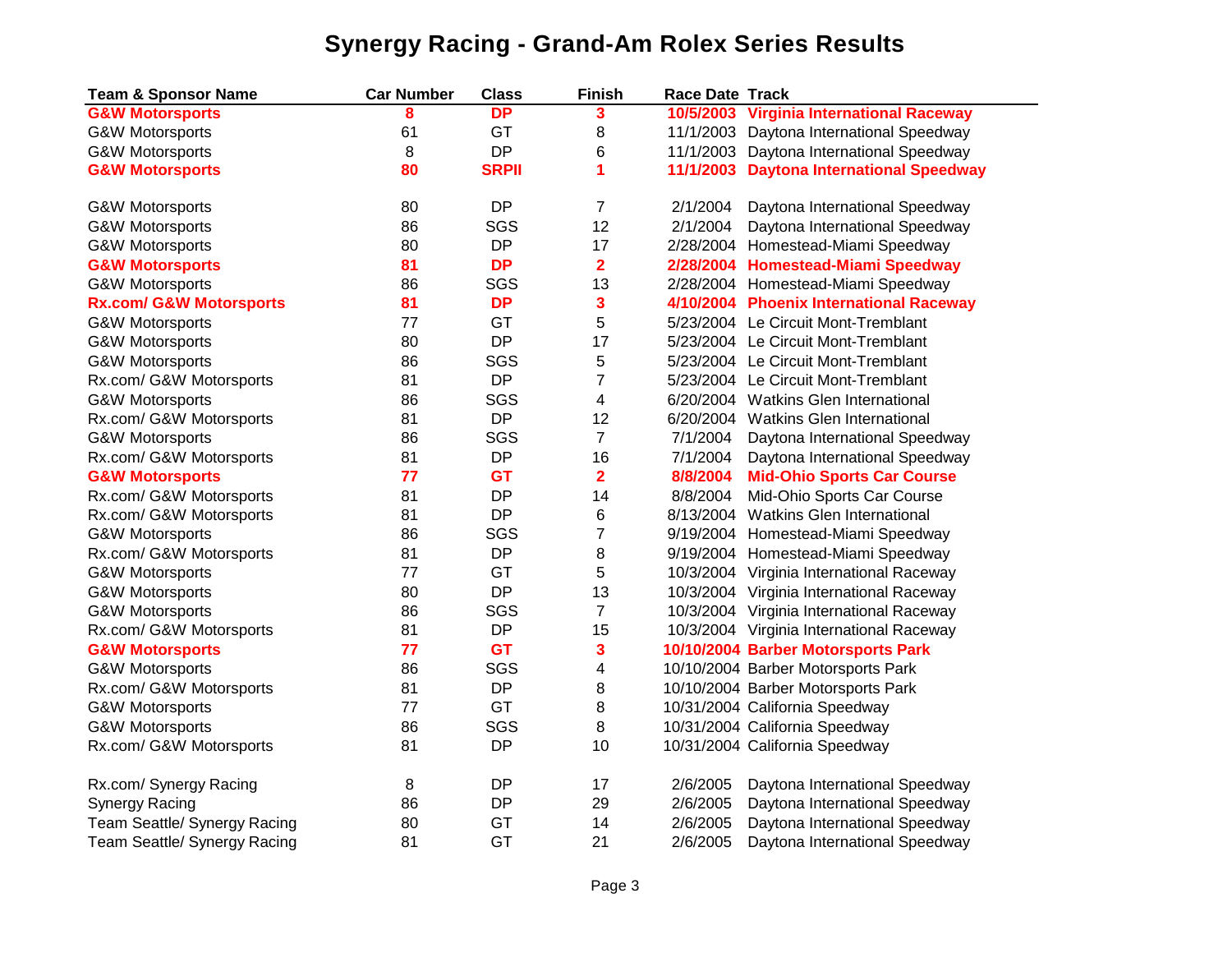| <b>Team &amp; Sponsor Name</b>     | <b>Car Number</b> | <b>Class</b> | <b>Finish</b>           | <b>Race Date Track</b> |                                          |
|------------------------------------|-------------------|--------------|-------------------------|------------------------|------------------------------------------|
| <b>G&amp;W Motorsports</b>         | 8                 | <b>DP</b>    | 3                       |                        | 10/5/2003 Virginia International Raceway |
| <b>G&amp;W Motorsports</b>         | 61                | GT           | 8                       |                        | 11/1/2003 Daytona International Speedway |
| <b>G&amp;W Motorsports</b>         | 8                 | <b>DP</b>    | 6                       |                        | 11/1/2003 Daytona International Speedway |
| <b>G&amp;W Motorsports</b>         | 80                | <b>SRPII</b> | 1                       |                        | 11/1/2003 Daytona International Speedway |
| <b>G&amp;W Motorsports</b>         | 80                | <b>DP</b>    | $\overline{7}$          | 2/1/2004               | Daytona International Speedway           |
| G&W Motorsports                    | 86                | SGS          | 12                      | 2/1/2004               | Daytona International Speedway           |
| G&W Motorsports                    | 80                | <b>DP</b>    | 17                      |                        | 2/28/2004 Homestead-Miami Speedway       |
| <b>G&amp;W Motorsports</b>         | 81                | <b>DP</b>    | $\overline{\mathbf{2}}$ |                        | 2/28/2004 Homestead-Miami Speedway       |
| G&W Motorsports                    | 86                | SGS          | 13                      |                        | 2/28/2004 Homestead-Miami Speedway       |
| <b>Rx.com/ G&amp;W Motorsports</b> | 81                | <b>DP</b>    | 3                       |                        | 4/10/2004 Phoenix International Raceway  |
| <b>G&amp;W Motorsports</b>         | 77                | GT           | 5                       |                        | 5/23/2004 Le Circuit Mont-Tremblant      |
| <b>G&amp;W Motorsports</b>         | 80                | <b>DP</b>    | 17                      |                        | 5/23/2004 Le Circuit Mont-Tremblant      |
| <b>G&amp;W Motorsports</b>         | 86                | SGS          | 5                       |                        | 5/23/2004 Le Circuit Mont-Tremblant      |
| Rx.com/ G&W Motorsports            | 81                | <b>DP</b>    | $\overline{7}$          |                        | 5/23/2004 Le Circuit Mont-Tremblant      |
| <b>G&amp;W Motorsports</b>         | 86                | SGS          | 4                       |                        | 6/20/2004 Watkins Glen International     |
| Rx.com/ G&W Motorsports            | 81                | <b>DP</b>    | 12                      |                        | 6/20/2004 Watkins Glen International     |
| <b>G&amp;W Motorsports</b>         | 86                | SGS          | $\overline{7}$          | 7/1/2004               | Daytona International Speedway           |
| Rx.com/ G&W Motorsports            | 81                | DP           | 16                      | 7/1/2004               | Daytona International Speedway           |
| <b>G&amp;W Motorsports</b>         | 77                | <b>GT</b>    | $\overline{\mathbf{2}}$ | 8/8/2004               | <b>Mid-Ohio Sports Car Course</b>        |
| Rx.com/ G&W Motorsports            | 81                | DP           | 14                      | 8/8/2004               | Mid-Ohio Sports Car Course               |
| Rx.com/ G&W Motorsports            | 81                | DP           | 6                       |                        | 8/13/2004 Watkins Glen International     |
| <b>G&amp;W Motorsports</b>         | 86                | SGS          | $\overline{7}$          |                        | 9/19/2004 Homestead-Miami Speedway       |
| Rx.com/ G&W Motorsports            | 81                | DP           | 8                       |                        | 9/19/2004 Homestead-Miami Speedway       |
| <b>G&amp;W Motorsports</b>         | 77                | GT           | 5                       |                        | 10/3/2004 Virginia International Raceway |
| G&W Motorsports                    | 80                | <b>DP</b>    | 13                      |                        | 10/3/2004 Virginia International Raceway |
| <b>G&amp;W Motorsports</b>         | 86                | SGS          | $\overline{7}$          |                        | 10/3/2004 Virginia International Raceway |
| Rx.com/ G&W Motorsports            | 81                | <b>DP</b>    | 15                      |                        | 10/3/2004 Virginia International Raceway |
| <b>G&amp;W Motorsports</b>         | 77                | <b>GT</b>    | 3                       |                        | 10/10/2004 Barber Motorsports Park       |
| <b>G&amp;W Motorsports</b>         | 86                | SGS          | 4                       |                        | 10/10/2004 Barber Motorsports Park       |
| Rx.com/ G&W Motorsports            | 81                | <b>DP</b>    | 8                       |                        | 10/10/2004 Barber Motorsports Park       |
| <b>G&amp;W Motorsports</b>         | 77                | GT           | 8                       |                        | 10/31/2004 California Speedway           |
| <b>G&amp;W Motorsports</b>         | 86                | SGS          | 8                       |                        | 10/31/2004 California Speedway           |
| Rx.com/ G&W Motorsports            | 81                | <b>DP</b>    | 10                      |                        | 10/31/2004 California Speedway           |
| Rx.com/ Synergy Racing             | 8                 | <b>DP</b>    | 17                      | 2/6/2005               | Daytona International Speedway           |
| <b>Synergy Racing</b>              | 86                | DP           | 29                      | 2/6/2005               | Daytona International Speedway           |
| Team Seattle/ Synergy Racing       | 80                | GT           | 14                      | 2/6/2005               | Daytona International Speedway           |
| Team Seattle/ Synergy Racing       | 81                | GT           | 21                      | 2/6/2005               | Daytona International Speedway           |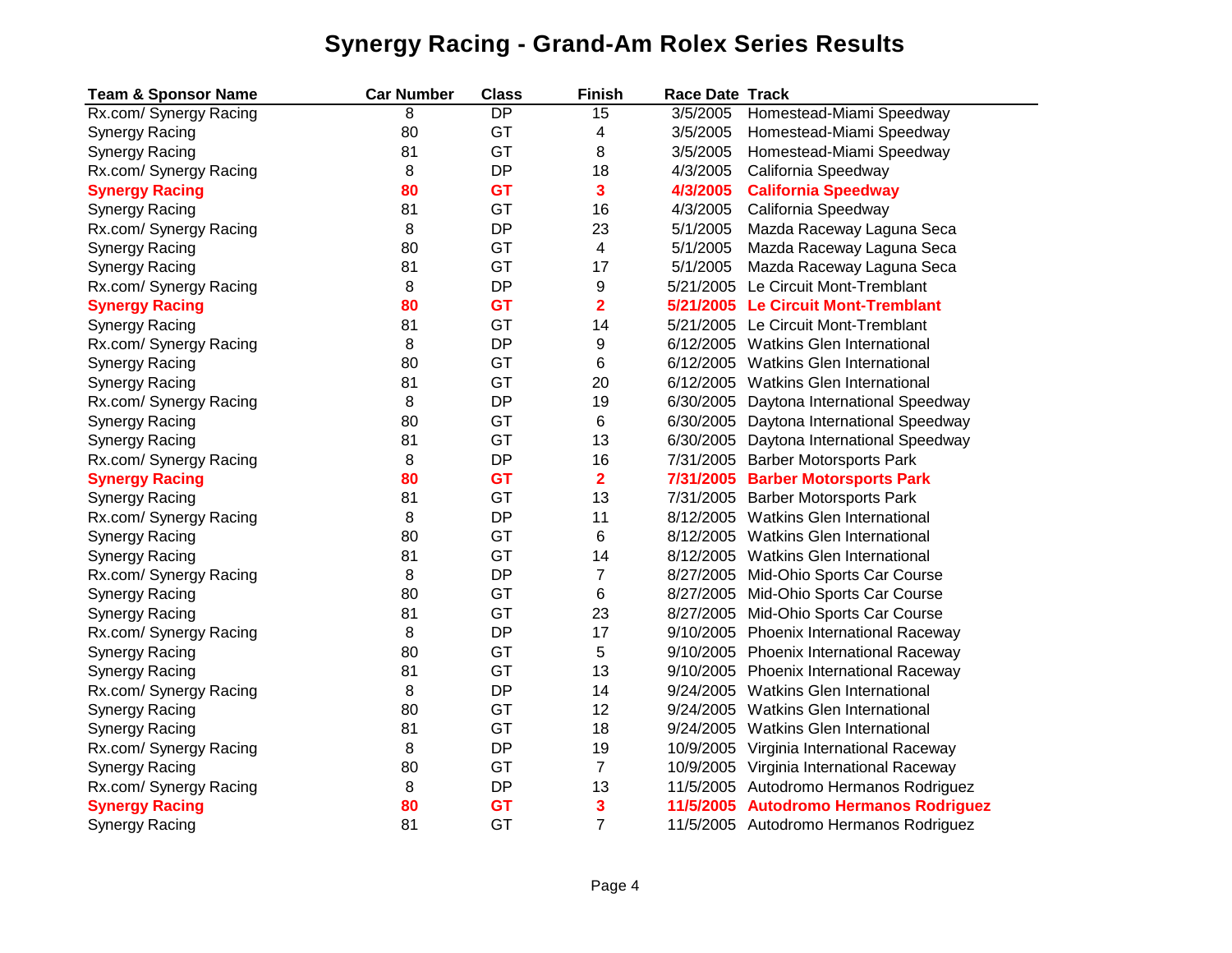| <b>Team &amp; Sponsor Name</b> | <b>Car Number</b> | <b>Class</b>    | <b>Finish</b>           | <b>Race Date Track</b> |                                          |
|--------------------------------|-------------------|-----------------|-------------------------|------------------------|------------------------------------------|
| Rx.com/ Synergy Racing         | 8                 | $\overline{DP}$ | 15                      | 3/5/2005               | Homestead-Miami Speedway                 |
| <b>Synergy Racing</b>          | 80                | GT              | 4                       | 3/5/2005               | Homestead-Miami Speedway                 |
| <b>Synergy Racing</b>          | 81                | GT              | 8                       | 3/5/2005               | Homestead-Miami Speedway                 |
| Rx.com/ Synergy Racing         | 8                 | <b>DP</b>       | 18                      | 4/3/2005               | California Speedway                      |
| <b>Synergy Racing</b>          | 80                | <b>GT</b>       | 3                       | 4/3/2005               | <b>California Speedway</b>               |
| <b>Synergy Racing</b>          | 81                | GT              | 16                      | 4/3/2005               | California Speedway                      |
| Rx.com/ Synergy Racing         | 8                 | <b>DP</b>       | 23                      | 5/1/2005               | Mazda Raceway Laguna Seca                |
| <b>Synergy Racing</b>          | 80                | GT              | 4                       | 5/1/2005               | Mazda Raceway Laguna Seca                |
| <b>Synergy Racing</b>          | 81                | GT              | 17                      | 5/1/2005               | Mazda Raceway Laguna Seca                |
| Rx.com/ Synergy Racing         | 8                 | <b>DP</b>       | 9                       | 5/21/2005              | Le Circuit Mont-Tremblant                |
| <b>Synergy Racing</b>          | 80                | <b>GT</b>       | $\overline{\mathbf{2}}$ |                        | 5/21/2005 Le Circuit Mont-Tremblant      |
| <b>Synergy Racing</b>          | 81                | GT              | 14                      |                        | 5/21/2005 Le Circuit Mont-Tremblant      |
| Rx.com/ Synergy Racing         | 8                 | <b>DP</b>       | 9                       |                        | 6/12/2005 Watkins Glen International     |
| <b>Synergy Racing</b>          | 80                | GT              | 6                       |                        | 6/12/2005 Watkins Glen International     |
| <b>Synergy Racing</b>          | 81                | GT              | 20                      |                        | 6/12/2005 Watkins Glen International     |
| Rx.com/ Synergy Racing         | 8                 | <b>DP</b>       | 19                      |                        | 6/30/2005 Daytona International Speedway |
| <b>Synergy Racing</b>          | 80                | GT              | 6                       |                        | 6/30/2005 Daytona International Speedway |
| <b>Synergy Racing</b>          | 81                | GT              | 13                      |                        | 6/30/2005 Daytona International Speedway |
| Rx.com/ Synergy Racing         | 8                 | <b>DP</b>       | 16                      |                        | 7/31/2005 Barber Motorsports Park        |
| <b>Synergy Racing</b>          | 80                | <b>GT</b>       | $\overline{2}$          |                        | 7/31/2005 Barber Motorsports Park        |
| <b>Synergy Racing</b>          | 81                | GT              | 13                      |                        | 7/31/2005 Barber Motorsports Park        |
| Rx.com/ Synergy Racing         | 8                 | <b>DP</b>       | 11                      |                        | 8/12/2005 Watkins Glen International     |
| <b>Synergy Racing</b>          | 80                | GT              | 6                       |                        | 8/12/2005 Watkins Glen International     |
| <b>Synergy Racing</b>          | 81                | GT              | 14                      |                        | 8/12/2005 Watkins Glen International     |
| Rx.com/ Synergy Racing         | 8                 | <b>DP</b>       | 7                       |                        | 8/27/2005 Mid-Ohio Sports Car Course     |
| <b>Synergy Racing</b>          | 80                | GT              | 6                       |                        | 8/27/2005 Mid-Ohio Sports Car Course     |
| <b>Synergy Racing</b>          | 81                | GT              | 23                      |                        | 8/27/2005 Mid-Ohio Sports Car Course     |
| Rx.com/ Synergy Racing         | 8                 | DP              | 17                      |                        | 9/10/2005 Phoenix International Raceway  |
| <b>Synergy Racing</b>          | 80                | GT              | 5                       |                        | 9/10/2005 Phoenix International Raceway  |
| <b>Synergy Racing</b>          | 81                | GT              | 13                      |                        | 9/10/2005 Phoenix International Raceway  |
| Rx.com/ Synergy Racing         | 8                 | <b>DP</b>       | 14                      | 9/24/2005              | <b>Watkins Glen International</b>        |
| <b>Synergy Racing</b>          | 80                | GT              | 12                      |                        | 9/24/2005 Watkins Glen International     |
| <b>Synergy Racing</b>          | 81                | GT              | 18                      |                        | 9/24/2005 Watkins Glen International     |
| Rx.com/ Synergy Racing         | 8                 | DP              | 19                      |                        | 10/9/2005 Virginia International Raceway |
| <b>Synergy Racing</b>          | 80                | GT              | 7                       |                        | 10/9/2005 Virginia International Raceway |
| Rx.com/ Synergy Racing         | 8                 | DP              | 13                      |                        | 11/5/2005 Autodromo Hermanos Rodriguez   |
| <b>Synergy Racing</b>          | 80                | <b>GT</b>       | 3                       |                        | 11/5/2005 Autodromo Hermanos Rodriguez   |
| Synergy Racing                 | 81                | GT              | $\overline{7}$          |                        | 11/5/2005 Autodromo Hermanos Rodriguez   |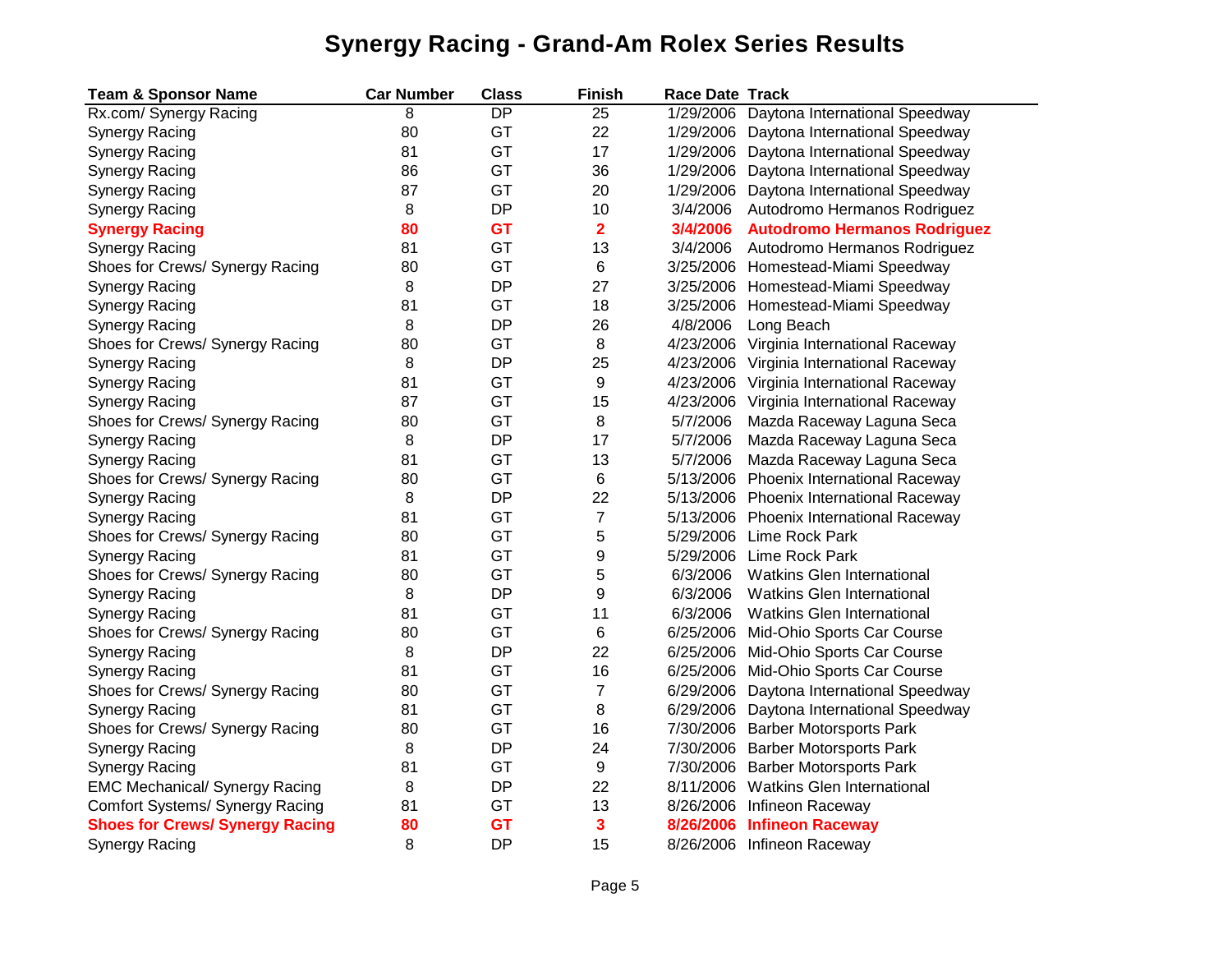| <b>Team &amp; Sponsor Name</b>         | <b>Car Number</b> | <b>Class</b>    | <b>Finish</b>    | <b>Race Date Track</b> |                                          |
|----------------------------------------|-------------------|-----------------|------------------|------------------------|------------------------------------------|
| Rx.com/ Synergy Racing                 | 8                 | $\overline{DP}$ | 25               |                        | 1/29/2006 Daytona International Speedway |
| <b>Synergy Racing</b>                  | 80                | GT              | 22               |                        | 1/29/2006 Daytona International Speedway |
| <b>Synergy Racing</b>                  | 81                | GT              | 17               |                        | 1/29/2006 Daytona International Speedway |
| <b>Synergy Racing</b>                  | 86                | GT              | 36               |                        | 1/29/2006 Daytona International Speedway |
| <b>Synergy Racing</b>                  | 87                | GT              | 20               |                        | 1/29/2006 Daytona International Speedway |
| <b>Synergy Racing</b>                  | 8                 | <b>DP</b>       | 10               | 3/4/2006               | Autodromo Hermanos Rodriguez             |
| <b>Synergy Racing</b>                  | 80                | <b>GT</b>       | $\overline{2}$   | 3/4/2006               | <b>Autodromo Hermanos Rodriguez</b>      |
| <b>Synergy Racing</b>                  | 81                | GT              | 13               | 3/4/2006               | Autodromo Hermanos Rodriguez             |
| Shoes for Crews/ Synergy Racing        | 80                | GT              | 6                |                        | 3/25/2006 Homestead-Miami Speedway       |
| <b>Synergy Racing</b>                  | 8                 | DP              | 27               |                        | 3/25/2006 Homestead-Miami Speedway       |
| <b>Synergy Racing</b>                  | 81                | GT              | 18               |                        | 3/25/2006 Homestead-Miami Speedway       |
| <b>Synergy Racing</b>                  | 8                 | <b>DP</b>       | 26               | 4/8/2006               | Long Beach                               |
| Shoes for Crews/ Synergy Racing        | 80                | GT              | 8                | 4/23/2006              | Virginia International Raceway           |
| <b>Synergy Racing</b>                  | 8                 | <b>DP</b>       | 25               |                        | 4/23/2006 Virginia International Raceway |
| Synergy Racing                         | 81                | GT              | 9                |                        | 4/23/2006 Virginia International Raceway |
| <b>Synergy Racing</b>                  | 87                | GT              | 15               |                        | 4/23/2006 Virginia International Raceway |
| Shoes for Crews/ Synergy Racing        | 80                | GT              | 8                | 5/7/2006               | Mazda Raceway Laguna Seca                |
| <b>Synergy Racing</b>                  | 8                 | <b>DP</b>       | 17               | 5/7/2006               | Mazda Raceway Laguna Seca                |
| <b>Synergy Racing</b>                  | 81                | GT              | 13               | 5/7/2006               | Mazda Raceway Laguna Seca                |
| Shoes for Crews/ Synergy Racing        | 80                | GT              | 6                |                        | 5/13/2006 Phoenix International Raceway  |
| <b>Synergy Racing</b>                  | 8                 | <b>DP</b>       | 22               |                        | 5/13/2006 Phoenix International Raceway  |
| <b>Synergy Racing</b>                  | 81                | GT              | $\boldsymbol{7}$ |                        | 5/13/2006 Phoenix International Raceway  |
| Shoes for Crews/ Synergy Racing        | 80                | GT              | 5                |                        | 5/29/2006 Lime Rock Park                 |
| <b>Synergy Racing</b>                  | 81                | GT              | 9                | 5/29/2006              | Lime Rock Park                           |
| Shoes for Crews/ Synergy Racing        | 80                | GT              | 5                | 6/3/2006               | <b>Watkins Glen International</b>        |
| Synergy Racing                         | 8                 | <b>DP</b>       | 9                | 6/3/2006               | <b>Watkins Glen International</b>        |
| <b>Synergy Racing</b>                  | 81                | GT              | 11               | 6/3/2006               | <b>Watkins Glen International</b>        |
| Shoes for Crews/ Synergy Racing        | 80                | GT              | 6                | 6/25/2006              | Mid-Ohio Sports Car Course               |
| <b>Synergy Racing</b>                  | 8                 | <b>DP</b>       | 22               |                        | 6/25/2006 Mid-Ohio Sports Car Course     |
| Synergy Racing                         | 81                | GT              | 16               |                        | 6/25/2006 Mid-Ohio Sports Car Course     |
| Shoes for Crews/ Synergy Racing        | 80                | GT              | $\overline{7}$   | 6/29/2006              | Daytona International Speedway           |
| <b>Synergy Racing</b>                  | 81                | GT              | 8                |                        | 6/29/2006 Daytona International Speedway |
| Shoes for Crews/ Synergy Racing        | 80                | GT              | 16               |                        | 7/30/2006 Barber Motorsports Park        |
| <b>Synergy Racing</b>                  | 8                 | <b>DP</b>       | 24               |                        | 7/30/2006 Barber Motorsports Park        |
| <b>Synergy Racing</b>                  | 81                | GT              | 9                |                        | 7/30/2006 Barber Motorsports Park        |
| <b>EMC Mechanical/ Synergy Racing</b>  | 8                 | <b>DP</b>       | 22               |                        | 8/11/2006 Watkins Glen International     |
| Comfort Systems/ Synergy Racing        | 81                | GT              | 13               |                        | 8/26/2006 Infineon Raceway               |
| <b>Shoes for Crews/ Synergy Racing</b> | 80                | <b>GT</b>       | 3                |                        | 8/26/2006 Infineon Raceway               |
| Synergy Racing                         | 8                 | <b>DP</b>       | 15               |                        | 8/26/2006 Infineon Raceway               |